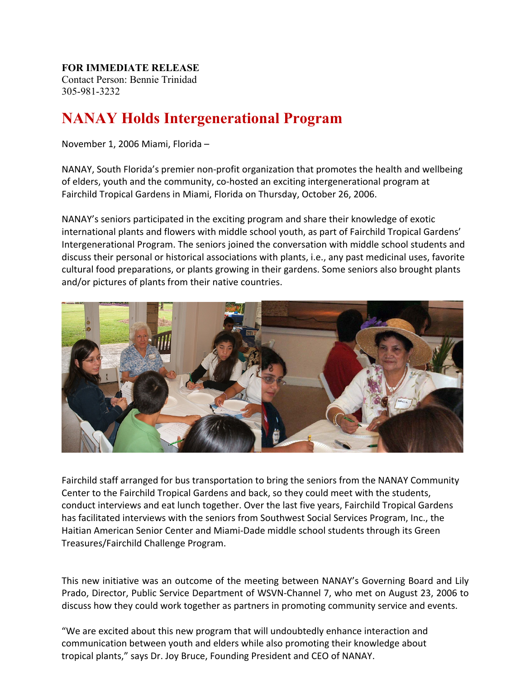## **FOR IMMEDIATE RELEASE**

Contact Person: Bennie Trinidad 305-981-3232

## **NANAY Holds Intergenerational Program**

November 1, 2006 Miami, Florida –

NANAY, South Florida's premier non-profit organization that promotes the health and wellbeing of elders, youth and the community, co-hosted an exciting intergenerational program at Fairchild Tropical Gardens in Miami, Florida on Thursday, October 26, 2006.

NANAY's seniors participated in the exciting program and share their knowledge of exotic international plants and flowers with middle school youth, as part of Fairchild Tropical Gardens' Intergenerational Program. The seniors joined the conversation with middle school students and discuss their personal or historical associations with plants, i.e., any past medicinal uses, favorite cultural food preparations, or plants growing in their gardens. Some seniors also brought plants and/or pictures of plants from their native countries.



Fairchild staff arranged for bus transportation to bring the seniors from the NANAY Community Center to the Fairchild Tropical Gardens and back, so they could meet with the students, conduct interviews and eat lunch together. Over the last five years, Fairchild Tropical Gardens has facilitated interviews with the seniors from Southwest Social Services Program, Inc., the Haitian American Senior Center and Miami-Dade middle school students through its Green Treasures/Fairchild Challenge Program.

This new initiative was an outcome of the meeting between NANAY's Governing Board and Lily Prado, Director, Public Service Department of WSVN-Channel 7, who met on August 23, 2006 to discuss how they could work together as partners in promoting community service and events.

"We are excited about this new program that will undoubtedly enhance interaction and communication between youth and elders while also promoting their knowledge about tropical plants," says Dr. Joy Bruce, Founding President and CEO of NANAY.